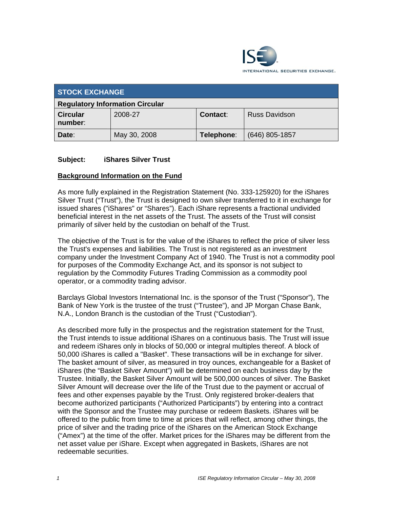

| <b>STOCK EXCHANGE</b>                  |              |                 |                      |
|----------------------------------------|--------------|-----------------|----------------------|
| <b>Regulatory Information Circular</b> |              |                 |                      |
| <b>Circular</b><br>number:             | 2008-27      | <b>Contact:</b> | <b>Russ Davidson</b> |
| Date:                                  | May 30, 2008 | Telephone:      | $(646)$ 805-1857     |

# **Subject: iShares Silver Trust**

### **Background Information on the Fund**

As more fully explained in the Registration Statement (No. 333-125920) for the iShares Silver Trust ("Trust"), the Trust is designed to own silver transferred to it in exchange for issued shares ("iShares" or "Shares"). Each iShare represents a fractional undivided beneficial interest in the net assets of the Trust. The assets of the Trust will consist primarily of silver held by the custodian on behalf of the Trust.

The objective of the Trust is for the value of the iShares to reflect the price of silver less the Trust's expenses and liabilities. The Trust is not registered as an investment company under the Investment Company Act of 1940. The Trust is not a commodity pool for purposes of the Commodity Exchange Act, and its sponsor is not subject to regulation by the Commodity Futures Trading Commission as a commodity pool operator, or a commodity trading advisor.

Barclays Global Investors International Inc. is the sponsor of the Trust ("Sponsor"), The Bank of New York is the trustee of the trust ("Trustee"), and JP Morgan Chase Bank, N.A., London Branch is the custodian of the Trust ("Custodian").

As described more fully in the prospectus and the registration statement for the Trust, the Trust intends to issue additional iShares on a continuous basis. The Trust will issue and redeem iShares only in blocks of 50,000 or integral multiples thereof. A block of 50,000 iShares is called a "Basket". These transactions will be in exchange for silver. The basket amount of silver, as measured in troy ounces, exchangeable for a Basket of iShares (the "Basket Silver Amount") will be determined on each business day by the Trustee. Initially, the Basket Silver Amount will be 500,000 ounces of silver. The Basket Silver Amount will decrease over the life of the Trust due to the payment or accrual of fees and other expenses payable by the Trust. Only registered broker-dealers that become authorized participants ("Authorized Participants") by entering into a contract with the Sponsor and the Trustee may purchase or redeem Baskets. iShares will be offered to the public from time to time at prices that will reflect, among other things, the price of silver and the trading price of the iShares on the American Stock Exchange ("Amex") at the time of the offer. Market prices for the iShares may be different from the net asset value per iShare. Except when aggregated in Baskets, iShares are not redeemable securities.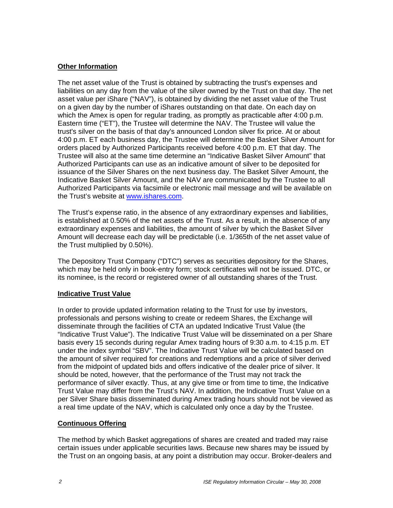# **Other Information**

The net asset value of the Trust is obtained by subtracting the trust's expenses and liabilities on any day from the value of the silver owned by the Trust on that day. The net asset value per iShare ("NAV"), is obtained by dividing the net asset value of the Trust on a given day by the number of iShares outstanding on that date. On each day on which the Amex is open for regular trading, as promptly as practicable after 4:00 p.m. Eastern time ("ET"), the Trustee will determine the NAV. The Trustee will value the trust's silver on the basis of that day's announced London silver fix price. At or about 4:00 p.m. ET each business day, the Trustee will determine the Basket Silver Amount for orders placed by Authorized Participants received before 4:00 p.m. ET that day. The Trustee will also at the same time determine an "Indicative Basket Silver Amount" that Authorized Participants can use as an indicative amount of silver to be deposited for issuance of the Silver Shares on the next business day. The Basket Silver Amount, the Indicative Basket Silver Amount, and the NAV are communicated by the Trustee to all Authorized Participants via facsimile or electronic mail message and will be available on the Trust's website at www.ishares.com.

The Trust's expense ratio, in the absence of any extraordinary expenses and liabilities, is established at 0.50% of the net assets of the Trust. As a result, in the absence of any extraordinary expenses and liabilities, the amount of silver by which the Basket Silver Amount will decrease each day will be predictable (i.e. 1/365th of the net asset value of the Trust multiplied by 0.50%).

The Depository Trust Company ("DTC") serves as securities depository for the Shares, which may be held only in book-entry form; stock certificates will not be issued. DTC, or its nominee, is the record or registered owner of all outstanding shares of the Trust.

# **Indicative Trust Value**

In order to provide updated information relating to the Trust for use by investors, professionals and persons wishing to create or redeem Shares, the Exchange will disseminate through the facilities of CTA an updated Indicative Trust Value (the "Indicative Trust Value"). The Indicative Trust Value will be disseminated on a per Share basis every 15 seconds during regular Amex trading hours of 9:30 a.m. to 4:15 p.m. ET under the index symbol "SBV". The Indicative Trust Value will be calculated based on the amount of silver required for creations and redemptions and a price of silver derived from the midpoint of updated bids and offers indicative of the dealer price of silver. It should be noted, however, that the performance of the Trust may not track the performance of silver exactly. Thus, at any give time or from time to time, the Indicative Trust Value may differ from the Trust's NAV. In addition, the Indicative Trust Value on a per Silver Share basis disseminated during Amex trading hours should not be viewed as a real time update of the NAV, which is calculated only once a day by the Trustee.

# **Continuous Offering**

The method by which Basket aggregations of shares are created and traded may raise certain issues under applicable securities laws. Because new shares may be issued by the Trust on an ongoing basis, at any point a distribution may occur. Broker-dealers and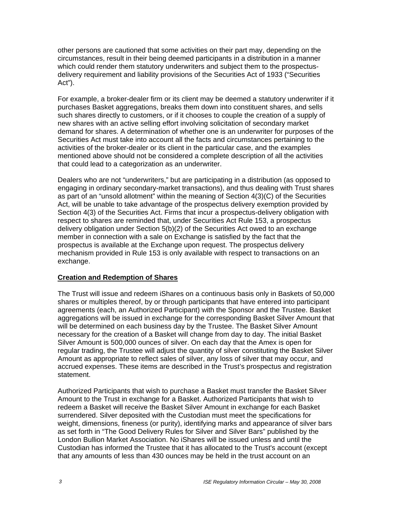other persons are cautioned that some activities on their part may, depending on the circumstances, result in their being deemed participants in a distribution in a manner which could render them statutory underwriters and subject them to the prospectusdelivery requirement and liability provisions of the Securities Act of 1933 ("Securities Act").

For example, a broker-dealer firm or its client may be deemed a statutory underwriter if it purchases Basket aggregations, breaks them down into constituent shares, and sells such shares directly to customers, or if it chooses to couple the creation of a supply of new shares with an active selling effort involving solicitation of secondary market demand for shares. A determination of whether one is an underwriter for purposes of the Securities Act must take into account all the facts and circumstances pertaining to the activities of the broker-dealer or its client in the particular case, and the examples mentioned above should not be considered a complete description of all the activities that could lead to a categorization as an underwriter.

Dealers who are not "underwriters," but are participating in a distribution (as opposed to engaging in ordinary secondary-market transactions), and thus dealing with Trust shares as part of an "unsold allotment" within the meaning of Section 4(3)(C) of the Securities Act, will be unable to take advantage of the prospectus delivery exemption provided by Section 4(3) of the Securities Act. Firms that incur a prospectus-delivery obligation with respect to shares are reminded that, under Securities Act Rule 153, a prospectus delivery obligation under Section 5(b)(2) of the Securities Act owed to an exchange member in connection with a sale on Exchange is satisfied by the fact that the prospectus is available at the Exchange upon request. The prospectus delivery mechanism provided in Rule 153 is only available with respect to transactions on an exchange.

# **Creation and Redemption of Shares**

The Trust will issue and redeem iShares on a continuous basis only in Baskets of 50,000 shares or multiples thereof, by or through participants that have entered into participant agreements (each, an Authorized Participant) with the Sponsor and the Trustee. Basket aggregations will be issued in exchange for the corresponding Basket Silver Amount that will be determined on each business day by the Trustee. The Basket Silver Amount necessary for the creation of a Basket will change from day to day. The initial Basket Silver Amount is 500,000 ounces of silver. On each day that the Amex is open for regular trading, the Trustee will adjust the quantity of silver constituting the Basket Silver Amount as appropriate to reflect sales of silver, any loss of silver that may occur, and accrued expenses. These items are described in the Trust's prospectus and registration statement.

Authorized Participants that wish to purchase a Basket must transfer the Basket Silver Amount to the Trust in exchange for a Basket. Authorized Participants that wish to redeem a Basket will receive the Basket Silver Amount in exchange for each Basket surrendered. Silver deposited with the Custodian must meet the specifications for weight, dimensions, fineness (or purity), identifying marks and appearance of silver bars as set forth in "The Good Delivery Rules for Silver and Silver Bars" published by the London Bullion Market Association. No iShares will be issued unless and until the Custodian has informed the Trustee that it has allocated to the Trust's account (except that any amounts of less than 430 ounces may be held in the trust account on an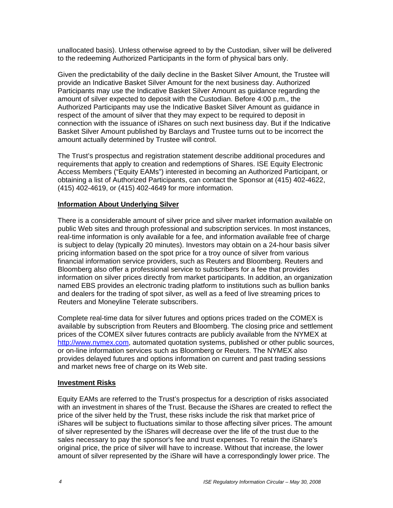unallocated basis). Unless otherwise agreed to by the Custodian, silver will be delivered to the redeeming Authorized Participants in the form of physical bars only.

Given the predictability of the daily decline in the Basket Silver Amount, the Trustee will provide an Indicative Basket Silver Amount for the next business day. Authorized Participants may use the Indicative Basket Silver Amount as guidance regarding the amount of silver expected to deposit with the Custodian. Before 4:00 p.m., the Authorized Participants may use the Indicative Basket Silver Amount as guidance in respect of the amount of silver that they may expect to be required to deposit in connection with the issuance of iShares on such next business day. But if the Indicative Basket Silver Amount published by Barclays and Trustee turns out to be incorrect the amount actually determined by Trustee will control.

The Trust's prospectus and registration statement describe additional procedures and requirements that apply to creation and redemptions of Shares. ISE Equity Electronic Access Members ("Equity EAMs") interested in becoming an Authorized Participant, or obtaining a list of Authorized Participants, can contact the Sponsor at (415) 402-4622, (415) 402-4619, or (415) 402-4649 for more information.

### **Information About Underlying Silver**

There is a considerable amount of silver price and silver market information available on public Web sites and through professional and subscription services. In most instances, real-time information is only available for a fee, and information available free of charge is subject to delay (typically 20 minutes). Investors may obtain on a 24-hour basis silver pricing information based on the spot price for a troy ounce of silver from various financial information service providers, such as Reuters and Bloomberg. Reuters and Bloomberg also offer a professional service to subscribers for a fee that provides information on silver prices directly from market participants. In addition, an organization named EBS provides an electronic trading platform to institutions such as bullion banks and dealers for the trading of spot silver, as well as a feed of live streaming prices to Reuters and Moneyline Telerate subscribers.

Complete real-time data for silver futures and options prices traded on the COMEX is available by subscription from Reuters and Bloomberg. The closing price and settlement prices of the COMEX silver futures contracts are publicly available from the NYMEX at http://www.nymex.com, automated quotation systems, published or other public sources, or on-line information services such as Bloomberg or Reuters. The NYMEX also provides delayed futures and options information on current and past trading sessions and market news free of charge on its Web site.

#### **Investment Risks**

Equity EAMs are referred to the Trust's prospectus for a description of risks associated with an investment in shares of the Trust. Because the iShares are created to reflect the price of the silver held by the Trust, these risks include the risk that market price of iShares will be subject to fluctuations similar to those affecting silver prices. The amount of silver represented by the iShares will decrease over the life of the trust due to the sales necessary to pay the sponsor's fee and trust expenses. To retain the iShare's original price, the price of silver will have to increase. Without that increase, the lower amount of silver represented by the iShare will have a correspondingly lower price. The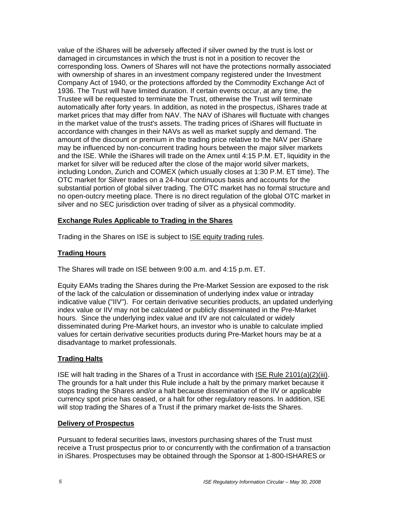value of the iShares will be adversely affected if silver owned by the trust is lost or damaged in circumstances in which the trust is not in a position to recover the corresponding loss. Owners of Shares will not have the protections normally associated with ownership of shares in an investment company registered under the Investment Company Act of 1940, or the protections afforded by the Commodity Exchange Act of 1936. The Trust will have limited duration. If certain events occur, at any time, the Trustee will be requested to terminate the Trust, otherwise the Trust will terminate automatically after forty years. In addition, as noted in the prospectus, iShares trade at market prices that may differ from NAV. The NAV of iShares will fluctuate with changes in the market value of the trust's assets. The trading prices of iShares will fluctuate in accordance with changes in their NAVs as well as market supply and demand. The amount of the discount or premium in the trading price relative to the NAV per iShare may be influenced by non-concurrent trading hours between the major silver markets and the ISE. While the iShares will trade on the Amex until 4:15 P.M. ET, liquidity in the market for silver will be reduced after the close of the major world silver markets, including London, Zurich and COMEX (which usually closes at 1:30 P.M. ET time). The OTC market for Silver trades on a 24-hour continuous basis and accounts for the substantial portion of global silver trading. The OTC market has no formal structure and no open-outcry meeting place. There is no direct regulation of the global OTC market in silver and no SEC jurisdiction over trading of silver as a physical commodity.

# **Exchange Rules Applicable to Trading in the Shares**

Trading in the Shares on ISE is subject to ISE equity trading rules.

### **Trading Hours**

The Shares will trade on ISE between 9:00 a.m. and 4:15 p.m. ET.

Equity EAMs trading the Shares during the Pre-Market Session are exposed to the risk of the lack of the calculation or dissemination of underlying index value or intraday indicative value ("IIV"). For certain derivative securities products, an updated underlying index value or IIV may not be calculated or publicly disseminated in the Pre-Market hours. Since the underlying index value and IIV are not calculated or widely disseminated during Pre-Market hours, an investor who is unable to calculate implied values for certain derivative securities products during Pre-Market hours may be at a disadvantage to market professionals.

# **Trading Halts**

ISE will halt trading in the Shares of a Trust in accordance with ISE Rule 2101(a)(2)(iii). The grounds for a halt under this Rule include a halt by the primary market because it stops trading the Shares and/or a halt because dissemination of the IIV or applicable currency spot price has ceased, or a halt for other regulatory reasons. In addition, ISE will stop trading the Shares of a Trust if the primary market de-lists the Shares.

#### **Delivery of Prospectus**

Pursuant to federal securities laws, investors purchasing shares of the Trust must receive a Trust prospectus prior to or concurrently with the confirmation of a transaction in iShares. Prospectuses may be obtained through the Sponsor at 1-800-ISHARES or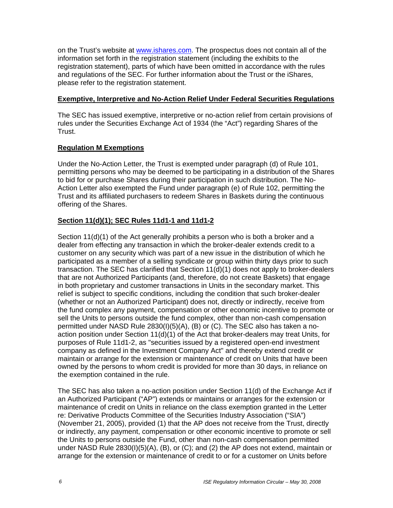on the Trust's website at www.ishares.com. The prospectus does not contain all of the information set forth in the registration statement (including the exhibits to the registration statement), parts of which have been omitted in accordance with the rules and regulations of the SEC. For further information about the Trust or the iShares, please refer to the registration statement.

# **Exemptive, Interpretive and No-Action Relief Under Federal Securities Regulations**

The SEC has issued exemptive, interpretive or no-action relief from certain provisions of rules under the Securities Exchange Act of 1934 (the "Act") regarding Shares of the Trust.

# **Regulation M Exemptions**

Under the No-Action Letter, the Trust is exempted under paragraph (d) of Rule 101, permitting persons who may be deemed to be participating in a distribution of the Shares to bid for or purchase Shares during their participation in such distribution. The No-Action Letter also exempted the Fund under paragraph (e) of Rule 102, permitting the Trust and its affiliated purchasers to redeem Shares in Baskets during the continuous offering of the Shares.

# **Section 11(d)(1); SEC Rules 11d1-1 and 11d1-2**

Section 11(d)(1) of the Act generally prohibits a person who is both a broker and a dealer from effecting any transaction in which the broker-dealer extends credit to a customer on any security which was part of a new issue in the distribution of which he participated as a member of a selling syndicate or group within thirty days prior to such transaction. The SEC has clarified that Section 11(d)(1) does not apply to broker-dealers that are not Authorized Participants (and, therefore, do not create Baskets) that engage in both proprietary and customer transactions in Units in the secondary market. This relief is subject to specific conditions, including the condition that such broker-dealer (whether or not an Authorized Participant) does not, directly or indirectly, receive from the fund complex any payment, compensation or other economic incentive to promote or sell the Units to persons outside the fund complex, other than non-cash compensation permitted under NASD Rule 2830(I)(5)(A), (B) or (C). The SEC also has taken a noaction position under Section 11(d)(1) of the Act that broker-dealers may treat Units, for purposes of Rule 11d1-2, as "securities issued by a registered open-end investment company as defined in the Investment Company Act" and thereby extend credit or maintain or arrange for the extension or maintenance of credit on Units that have been owned by the persons to whom credit is provided for more than 30 days, in reliance on the exemption contained in the rule.

The SEC has also taken a no-action position under Section 11(d) of the Exchange Act if an Authorized Participant ("AP") extends or maintains or arranges for the extension or maintenance of credit on Units in reliance on the class exemption granted in the Letter re: Derivative Products Committee of the Securities Industry Association ("SIA") (November 21, 2005), provided (1) that the AP does not receive from the Trust, directly or indirectly, any payment, compensation or other economic incentive to promote or sell the Units to persons outside the Fund, other than non-cash compensation permitted under NASD Rule 2830(I)(5)(A), (B), or (C); and (2) the AP does not extend, maintain or arrange for the extension or maintenance of credit to or for a customer on Units before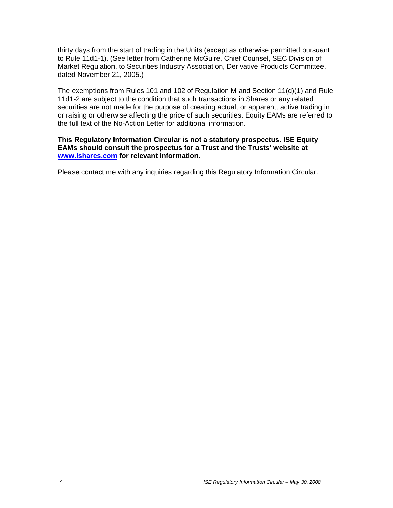thirty days from the start of trading in the Units (except as otherwise permitted pursuant to Rule 11d1-1). (See letter from Catherine McGuire, Chief Counsel, SEC Division of Market Regulation, to Securities Industry Association, Derivative Products Committee, dated November 21, 2005.)

The exemptions from Rules 101 and 102 of Regulation M and Section 11(d)(1) and Rule 11d1-2 are subject to the condition that such transactions in Shares or any related securities are not made for the purpose of creating actual, or apparent, active trading in or raising or otherwise affecting the price of such securities. Equity EAMs are referred to the full text of the No-Action Letter for additional information.

### **This Regulatory Information Circular is not a statutory prospectus. ISE Equity EAMs should consult the prospectus for a Trust and the Trusts' website at www.ishares.com for relevant information.**

Please contact me with any inquiries regarding this Regulatory Information Circular.